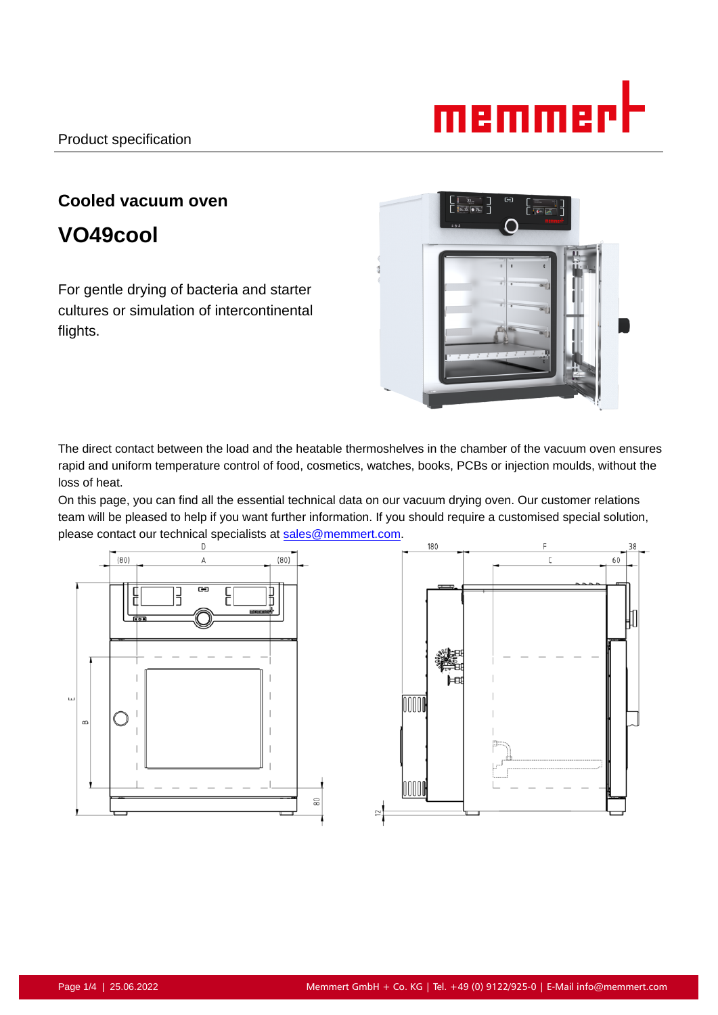

# **Cooled vacuum oven**

**VO49cool**

For gentle drying of bacteria and starter cultures or simulation of intercontinental flights.



The direct contact between the load and the heatable thermoshelves in the chamber of the vacuum oven ensures rapid and uniform temperature control of food, cosmetics, watches, books, PCBs or injection moulds, without the loss of heat.

On this page, you can find all the essential technical data on our vacuum drying oven. Our customer relations team will be pleased to help if you want further information. If you should require a customised special solution, please contact our technical specialists at sales@memmert.com.

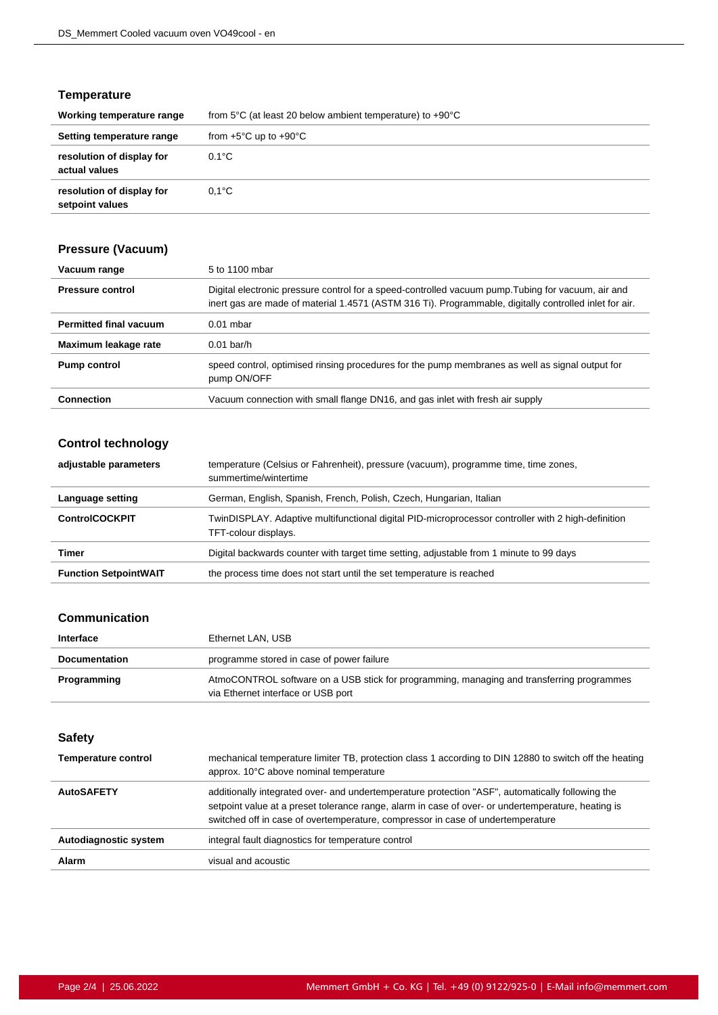## **Temperature**

| Working temperature range                    | from 5 $\degree$ C (at least 20 below ambient temperature) to +90 $\degree$ C |
|----------------------------------------------|-------------------------------------------------------------------------------|
| Setting temperature range                    | from $+5^{\circ}$ C up to $+90^{\circ}$ C                                     |
| resolution of display for<br>actual values   | $0.1^{\circ}$ C                                                               |
| resolution of display for<br>setpoint values | $0.1^{\circ}$ C                                                               |

# **Pressure (Vacuum)**

| Vacuum range                  | 5 to 1100 mbar                                                                                                                                                                                               |
|-------------------------------|--------------------------------------------------------------------------------------------------------------------------------------------------------------------------------------------------------------|
| <b>Pressure control</b>       | Digital electronic pressure control for a speed-controlled vacuum pump. Tubing for vacuum, air and<br>inert gas are made of material 1.4571 (ASTM 316 Ti). Programmable, digitally controlled inlet for air. |
| <b>Permitted final vacuum</b> | $0.01$ mbar                                                                                                                                                                                                  |
| Maximum leakage rate          | $0.01$ bar/h                                                                                                                                                                                                 |
| <b>Pump control</b>           | speed control, optimised rinsing procedures for the pump membranes as well as signal output for<br>pump ON/OFF                                                                                               |
| <b>Connection</b>             | Vacuum connection with small flange DN16, and gas inlet with fresh air supply                                                                                                                                |

# **Control technology**

| adjustable parameters        | temperature (Celsius or Fahrenheit), pressure (vacuum), programme time, time zones,<br>summertime/wintertime               |
|------------------------------|----------------------------------------------------------------------------------------------------------------------------|
| Language setting             | German, English, Spanish, French, Polish, Czech, Hungarian, Italian                                                        |
| <b>ControlCOCKPIT</b>        | TwinDISPLAY. Adaptive multifunctional digital PID-microprocessor controller with 2 high-definition<br>TFT-colour displays. |
| Timer                        | Digital backwards counter with target time setting, adjustable from 1 minute to 99 days                                    |
| <b>Function SetpointWAIT</b> | the process time does not start until the set temperature is reached                                                       |

#### **Communication**

| Interface            | Ethernet LAN, USB                                                                                                               |
|----------------------|---------------------------------------------------------------------------------------------------------------------------------|
| <b>Documentation</b> | programme stored in case of power failure                                                                                       |
| Programming          | AtmoCONTROL software on a USB stick for programming, managing and transferring programmes<br>via Ethernet interface or USB port |

**Safety**

| <b>Temperature control</b> | mechanical temperature limiter TB, protection class 1 according to DIN 12880 to switch off the heating<br>approx. 10°C above nominal temperature                                                                                                                                          |
|----------------------------|-------------------------------------------------------------------------------------------------------------------------------------------------------------------------------------------------------------------------------------------------------------------------------------------|
| <b>AutoSAFETY</b>          | additionally integrated over- and undertemperature protection "ASF", automatically following the<br>setpoint value at a preset tolerance range, alarm in case of over- or undertemperature, heating is<br>switched off in case of overtemperature, compressor in case of undertemperature |
| Autodiagnostic system      | integral fault diagnostics for temperature control                                                                                                                                                                                                                                        |
| <b>Alarm</b>               | visual and acoustic                                                                                                                                                                                                                                                                       |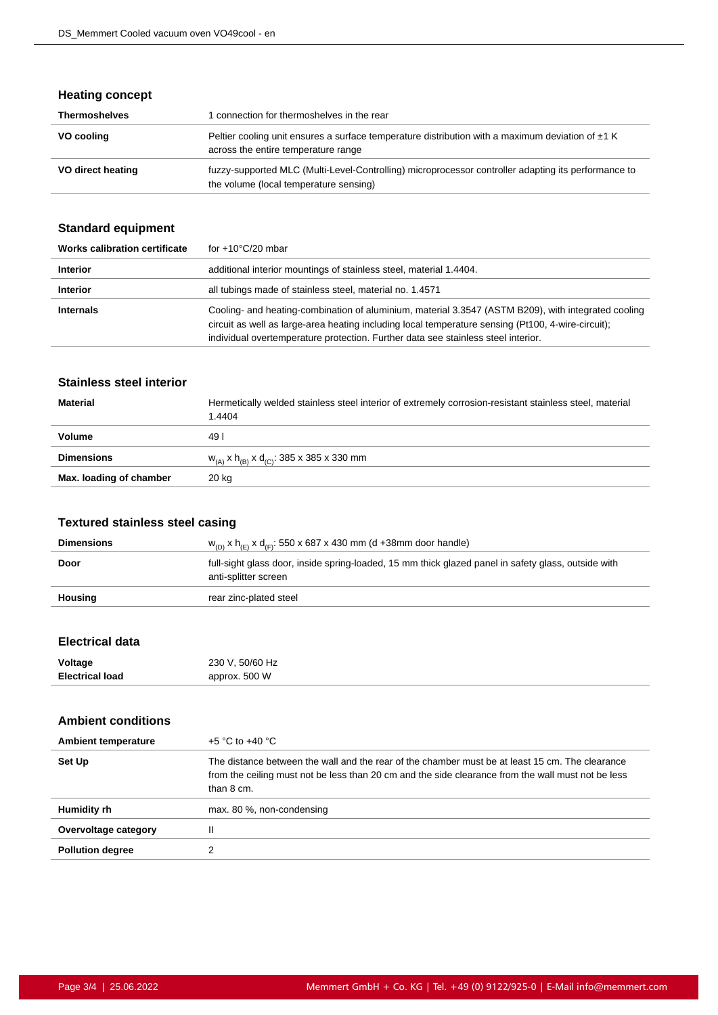## **Heating concept**

| <b>Thermoshelves</b> | connection for thermoshelves in the rear                                                                                                      |
|----------------------|-----------------------------------------------------------------------------------------------------------------------------------------------|
| VO cooling           | Peltier cooling unit ensures a surface temperature distribution with a maximum deviation of $\pm 1$ K<br>across the entire temperature range  |
| VO direct heating    | fuzzy-supported MLC (Multi-Level-Controlling) microprocessor controller adapting its performance to<br>the volume (local temperature sensing) |

## **Standard equipment**

| Works calibration certificate | for $+10^{\circ}$ C/20 mbar                                                                                                                                                                                                                                                                    |
|-------------------------------|------------------------------------------------------------------------------------------------------------------------------------------------------------------------------------------------------------------------------------------------------------------------------------------------|
| <b>Interior</b>               | additional interior mountings of stainless steel, material 1.4404.                                                                                                                                                                                                                             |
| <b>Interior</b>               | all tubings made of stainless steel, material no. 1.4571                                                                                                                                                                                                                                       |
| <b>Internals</b>              | Cooling- and heating-combination of aluminium, material 3.3547 (ASTM B209), with integrated cooling<br>circuit as well as large-area heating including local temperature sensing (Pt100, 4-wire-circuit);<br>individual overtemperature protection. Further data see stainless steel interior. |

## **Stainless steel interior**

| <b>Material</b>         | Hermetically welded stainless steel interior of extremely corrosion-resistant stainless steel, material<br>1.4404 |
|-------------------------|-------------------------------------------------------------------------------------------------------------------|
| <b>Volume</b>           | 49 I                                                                                                              |
| <b>Dimensions</b>       | $W_{(A)}$ x h <sub>(B)</sub> x d <sub>(C)</sub> : 385 x 385 x 330 mm                                              |
| Max. loading of chamber | 20 kg                                                                                                             |

## **Textured stainless steel casing**

| <b>Dimensions</b> | $w_{(D)}$ x h <sub>(E)</sub> x d <sub>(F)</sub> : 550 x 687 x 430 mm (d +38mm door handle)                                  |
|-------------------|-----------------------------------------------------------------------------------------------------------------------------|
| Door              | full-sight glass door, inside spring-loaded, 15 mm thick glazed panel in safety glass, outside with<br>anti-splitter screen |
| Housing           | rear zinc-plated steel                                                                                                      |
|                   |                                                                                                                             |

## **Electrical data**

| Voltage                | 230 V, 50/60 Hz |
|------------------------|-----------------|
| <b>Electrical load</b> | approx. 500 W   |

#### **Ambient conditions**

| <b>Ambient temperature</b> | $+5$ °C to $+40$ °C                                                                                                                                                                                                 |
|----------------------------|---------------------------------------------------------------------------------------------------------------------------------------------------------------------------------------------------------------------|
| Set Up                     | The distance between the wall and the rear of the chamber must be at least 15 cm. The clearance<br>from the ceiling must not be less than 20 cm and the side clearance from the wall must not be less<br>than 8 cm. |
| Humidity rh                | max. 80 %, non-condensing                                                                                                                                                                                           |
| Overvoltage category       |                                                                                                                                                                                                                     |
| <b>Pollution degree</b>    |                                                                                                                                                                                                                     |